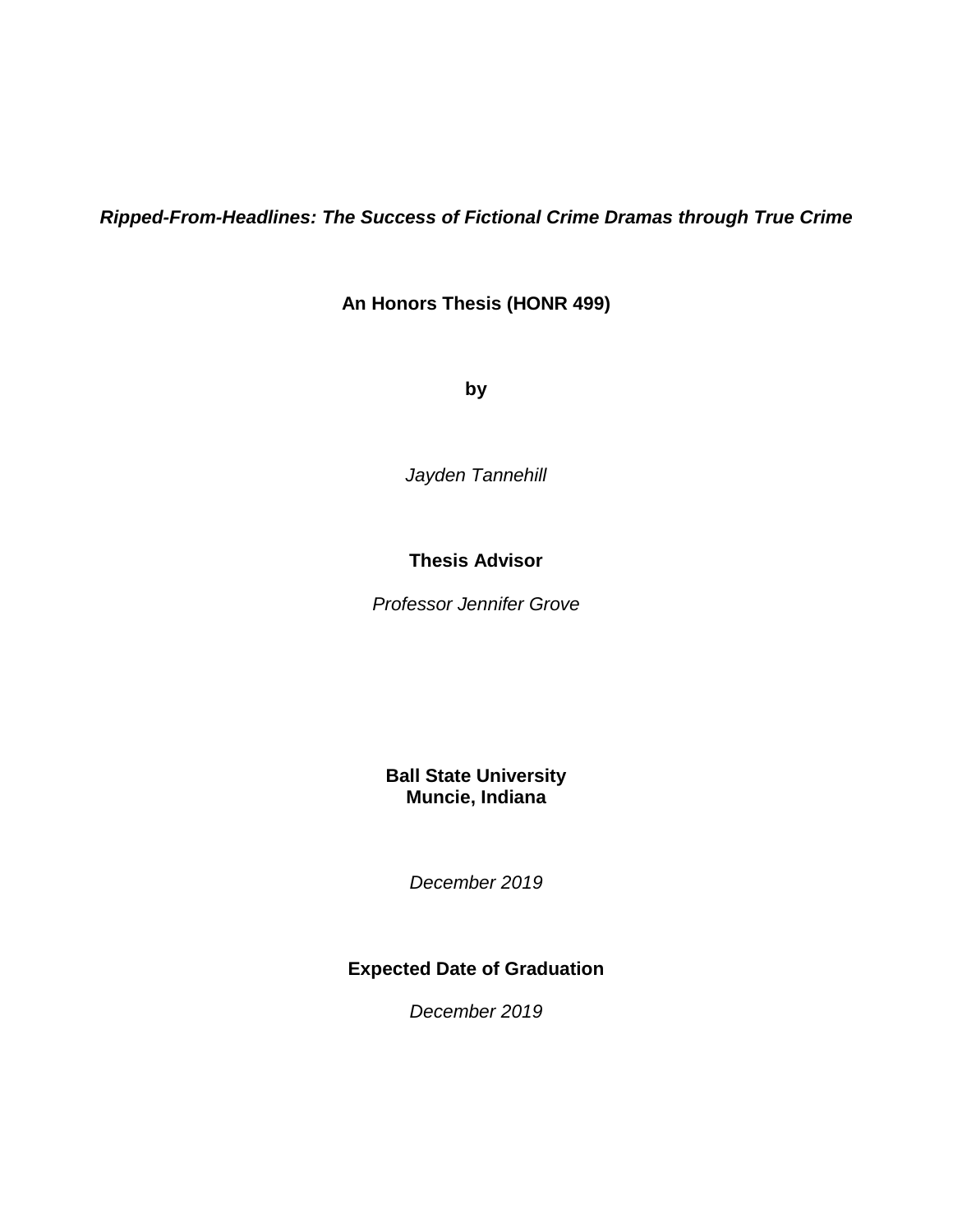*Ripped-From-Headlines: The Success of Fictional Crime Dramas through True Crime*

**An Honors Thesis (HONR 499)**

**by**

*Jayden Tannehill*

# **Thesis Advisor**

*Professor Jennifer Grove*

# **Ball State University Muncie, Indiana**

*December 2019*

# **Expected Date of Graduation**

*December 2019*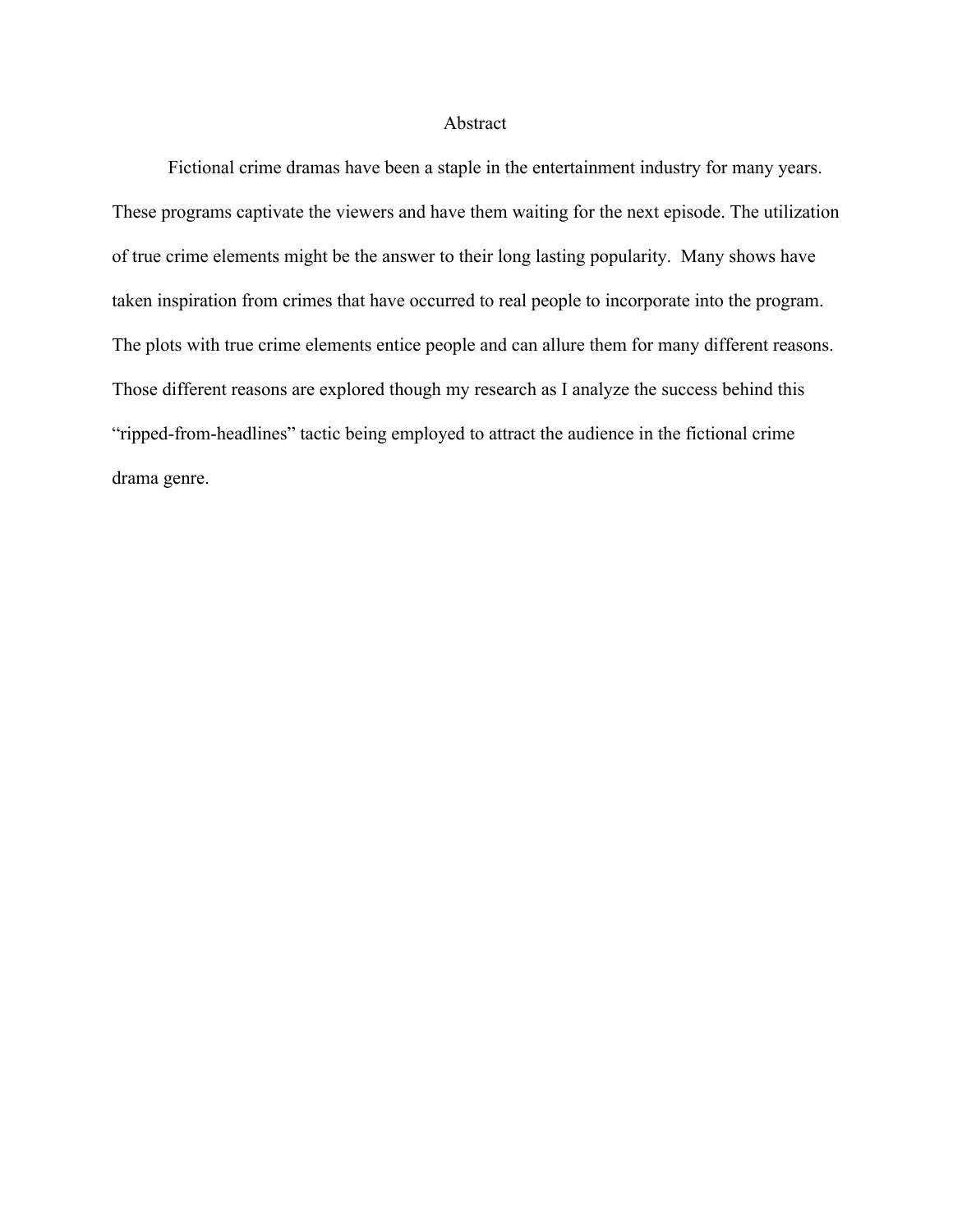## Abstract

Fictional crime dramas have been a staple in the entertainment industry for many years. These programs captivate the viewers and have them waiting for the next episode. The utilization of true crime elements might be the answer to their long lasting popularity. Many shows have taken inspiration from crimes that have occurred to real people to incorporate into the program. The plots with true crime elements entice people and can allure them for many different reasons. Those different reasons are explored though my research as I analyze the success behind this "ripped-from-headlines" tactic being employed to attract the audience in the fictional crime drama genre.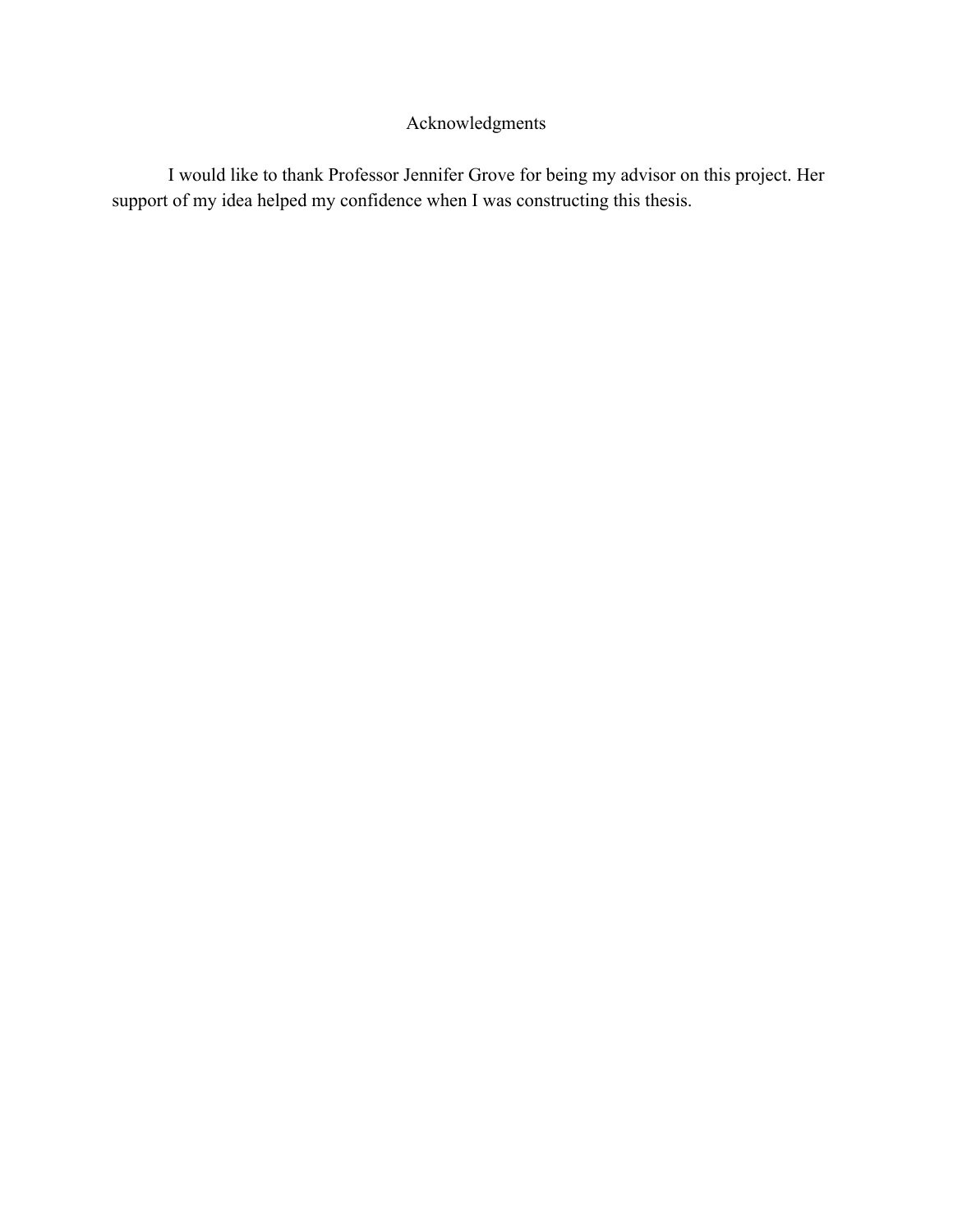# Acknowledgments

I would like to thank Professor Jennifer Grove for being my advisor on this project. Her support of my idea helped my confidence when I was constructing this thesis.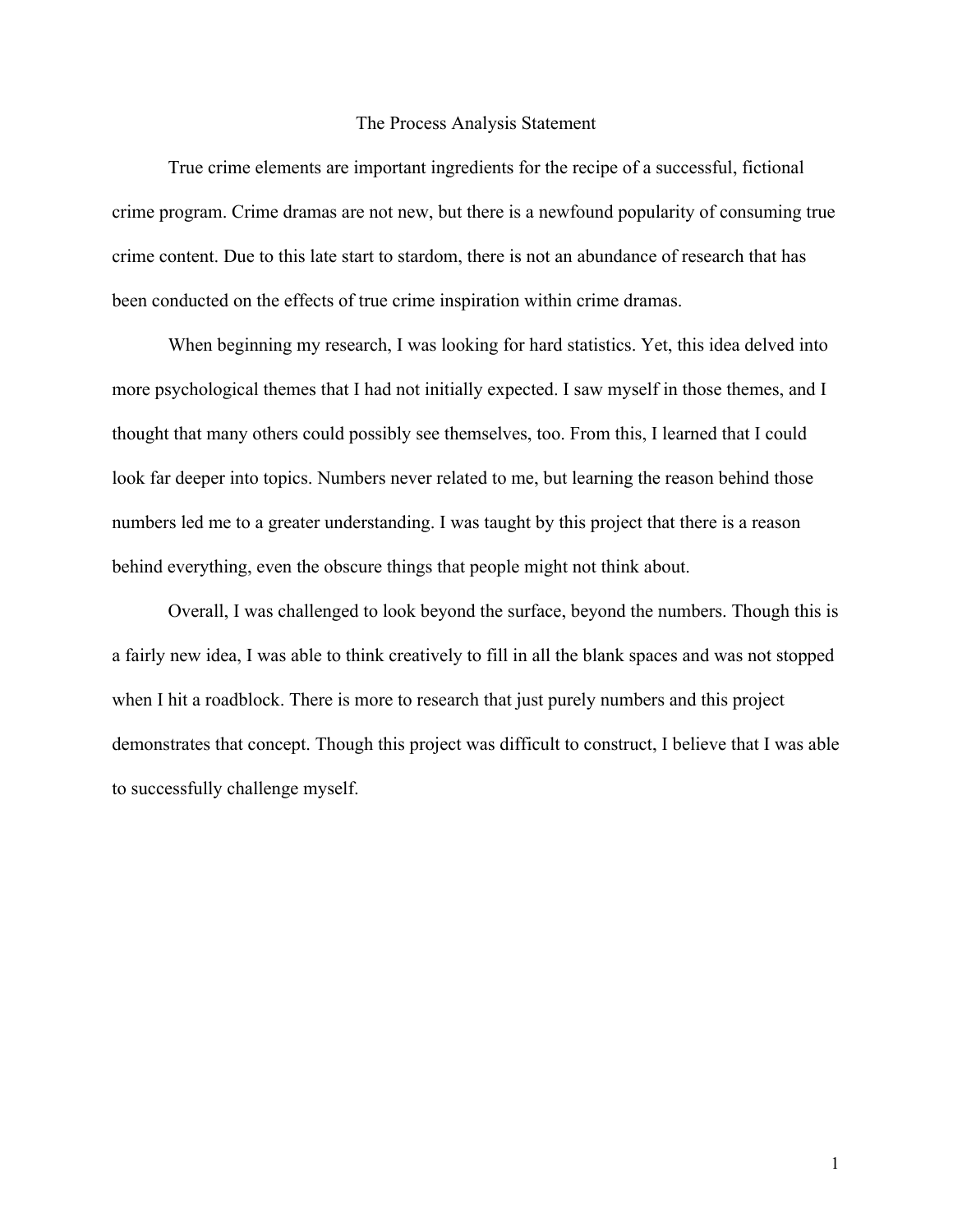#### The Process Analysis Statement

True crime elements are important ingredients for the recipe of a successful, fictional crime program. Crime dramas are not new, but there is a newfound popularity of consuming true crime content. Due to this late start to stardom, there is not an abundance of research that has been conducted on the effects of true crime inspiration within crime dramas.

When beginning my research, I was looking for hard statistics. Yet, this idea delved into more psychological themes that I had not initially expected. I saw myself in those themes, and I thought that many others could possibly see themselves, too. From this, I learned that I could look far deeper into topics. Numbers never related to me, but learning the reason behind those numbers led me to a greater understanding. I was taught by this project that there is a reason behind everything, even the obscure things that people might not think about.

Overall, I was challenged to look beyond the surface, beyond the numbers. Though this is a fairly new idea, I was able to think creatively to fill in all the blank spaces and was not stopped when I hit a roadblock. There is more to research that just purely numbers and this project demonstrates that concept. Though this project was difficult to construct, I believe that I was able to successfully challenge myself.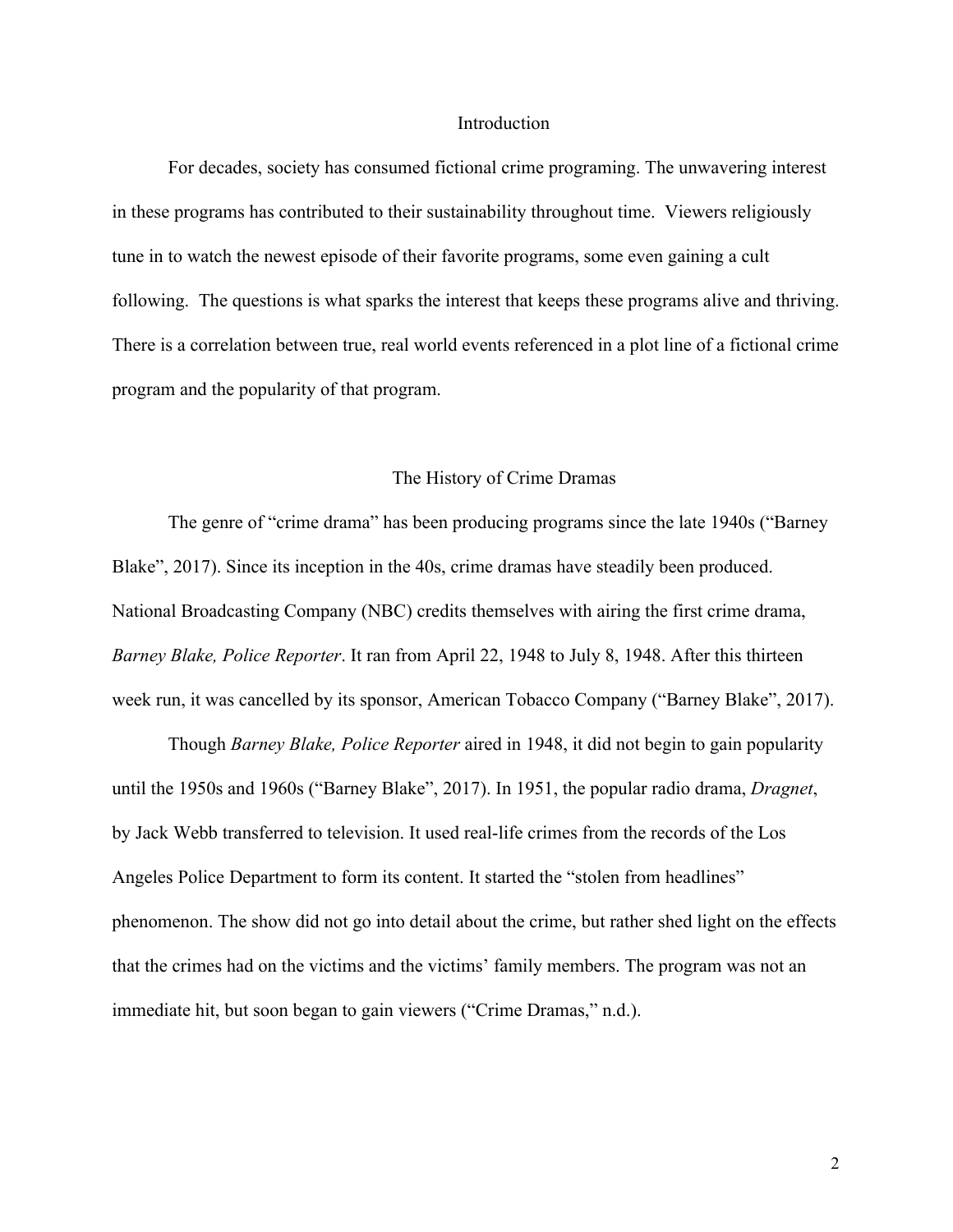#### Introduction

For decades, society has consumed fictional crime programing. The unwavering interest in these programs has contributed to their sustainability throughout time. Viewers religiously tune in to watch the newest episode of their favorite programs, some even gaining a cult following. The questions is what sparks the interest that keeps these programs alive and thriving. There is a correlation between true, real world events referenced in a plot line of a fictional crime program and the popularity of that program.

#### The History of Crime Dramas

The genre of "crime drama" has been producing programs since the late 1940s ("Barney Blake", 2017). Since its inception in the 40s, crime dramas have steadily been produced. National Broadcasting Company (NBC) credits themselves with airing the first crime drama, *Barney Blake, Police Reporter*. It ran from April 22, 1948 to July 8, 1948. After this thirteen week run, it was cancelled by its sponsor, American Tobacco Company ("Barney Blake", 2017).

Though *Barney Blake, Police Reporter* aired in 1948, it did not begin to gain popularity until the 1950s and 1960s ("Barney Blake", 2017). In 1951, the popular radio drama, *Dragnet*, by Jack Webb transferred to television. It used real-life crimes from the records of the Los Angeles Police Department to form its content. It started the "stolen from headlines" phenomenon. The show did not go into detail about the crime, but rather shed light on the effects that the crimes had on the victims and the victims' family members. The program was not an immediate hit, but soon began to gain viewers ("Crime Dramas," n.d.).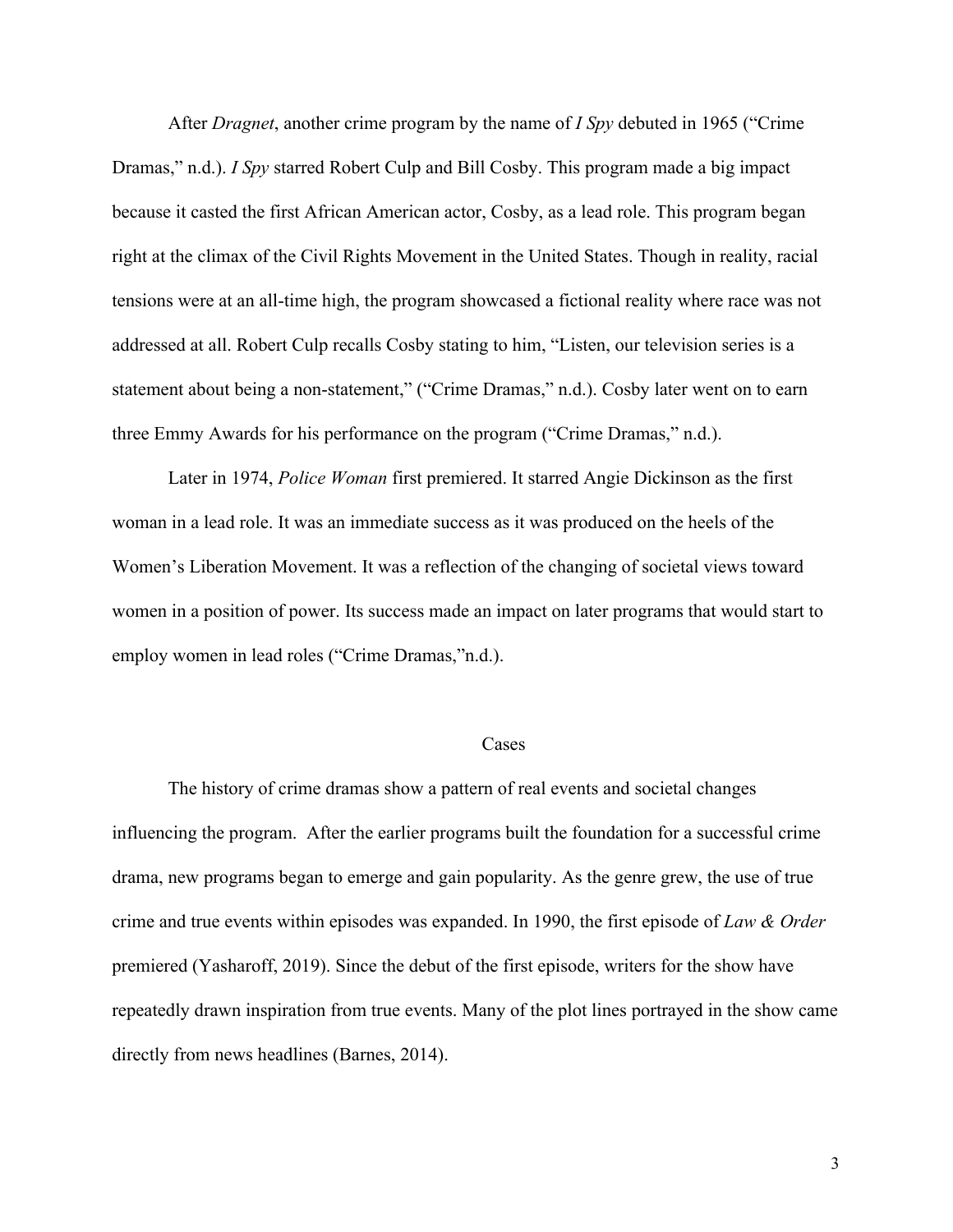After *Dragnet*, another crime program by the name of *I Spy* debuted in 1965 ("Crime Dramas," n.d.). *I Spy* starred Robert Culp and Bill Cosby. This program made a big impact because it casted the first African American actor, Cosby, as a lead role. This program began right at the climax of the Civil Rights Movement in the United States. Though in reality, racial tensions were at an all-time high, the program showcased a fictional reality where race was not addressed at all. Robert Culp recalls Cosby stating to him, "Listen, our television series is a statement about being a non-statement," ("Crime Dramas," n.d.). Cosby later went on to earn three Emmy Awards for his performance on the program ("Crime Dramas," n.d.).

Later in 1974, *Police Woman* first premiered. It starred Angie Dickinson as the first woman in a lead role. It was an immediate success as it was produced on the heels of the Women's Liberation Movement. It was a reflection of the changing of societal views toward women in a position of power. Its success made an impact on later programs that would start to employ women in lead roles ("Crime Dramas,"n.d.).

#### Cases

The history of crime dramas show a pattern of real events and societal changes influencing the program. After the earlier programs built the foundation for a successful crime drama, new programs began to emerge and gain popularity. As the genre grew, the use of true crime and true events within episodes was expanded. In 1990, the first episode of *Law & Order* premiered (Yasharoff, 2019). Since the debut of the first episode, writers for the show have repeatedly drawn inspiration from true events. Many of the plot lines portrayed in the show came directly from news headlines (Barnes, 2014).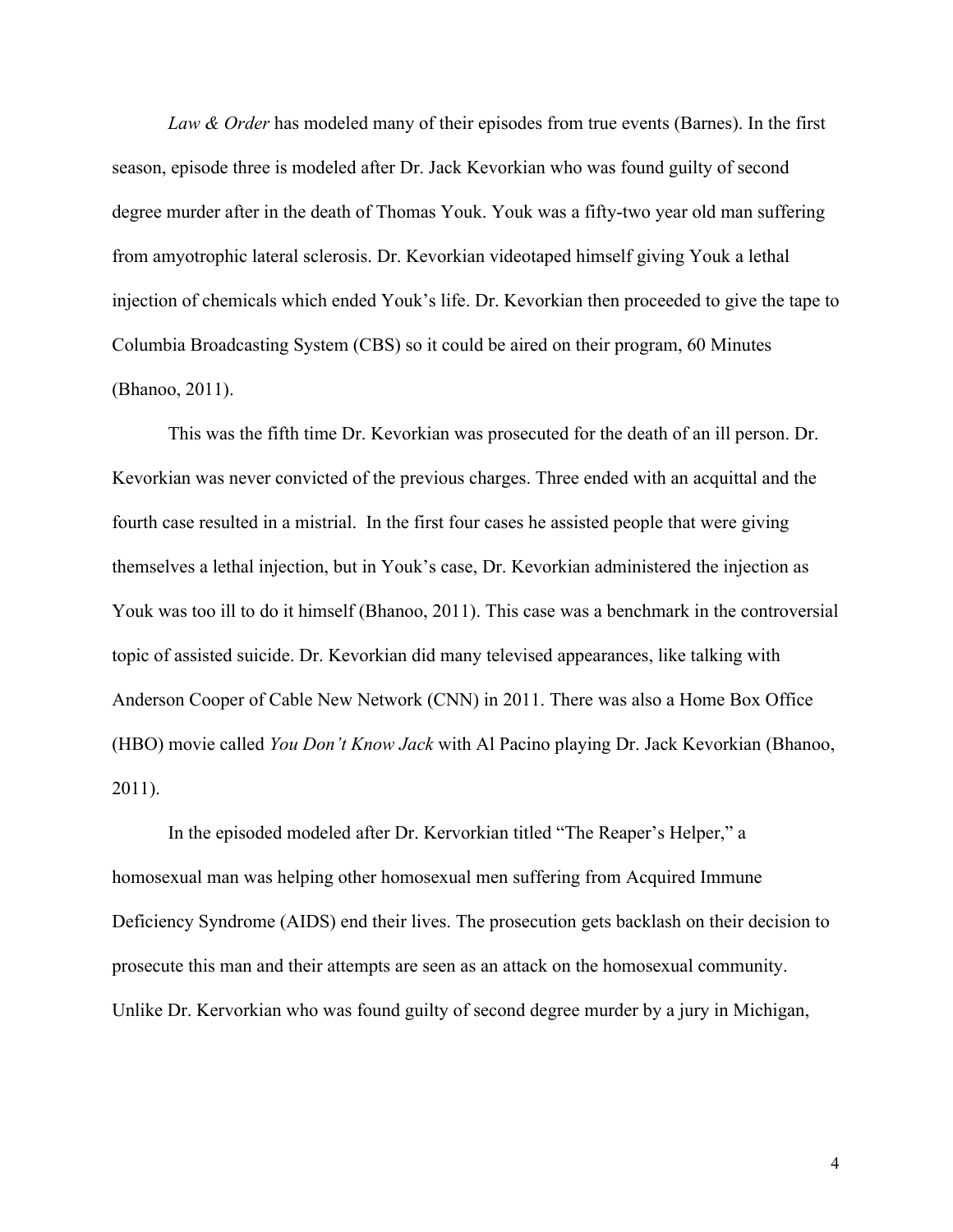*Law & Order* has modeled many of their episodes from true events (Barnes). In the first season, episode three is modeled after Dr. Jack Kevorkian who was found guilty of second degree murder after in the death of Thomas Youk. Youk was a fifty-two year old man suffering from amyotrophic lateral sclerosis. Dr. Kevorkian videotaped himself giving Youk a lethal injection of chemicals which ended Youk's life. Dr. Kevorkian then proceeded to give the tape to Columbia Broadcasting System (CBS) so it could be aired on their program, 60 Minutes (Bhanoo, 2011).

This was the fifth time Dr. Kevorkian was prosecuted for the death of an ill person. Dr. Kevorkian was never convicted of the previous charges. Three ended with an acquittal and the fourth case resulted in a mistrial. In the first four cases he assisted people that were giving themselves a lethal injection, but in Youk's case, Dr. Kevorkian administered the injection as Youk was too ill to do it himself (Bhanoo, 2011). This case was a benchmark in the controversial topic of assisted suicide. Dr. Kevorkian did many televised appearances, like talking with Anderson Cooper of Cable New Network (CNN) in 2011. There was also a Home Box Office (HBO) movie called *You Don't Know Jack* with Al Pacino playing Dr. Jack Kevorkian (Bhanoo, 2011).

In the episoded modeled after Dr. Kervorkian titled "The Reaper's Helper," a homosexual man was helping other homosexual men suffering from Acquired Immune Deficiency Syndrome (AIDS) end their lives. The prosecution gets backlash on their decision to prosecute this man and their attempts are seen as an attack on the homosexual community. Unlike Dr. Kervorkian who was found guilty of second degree murder by a jury in Michigan,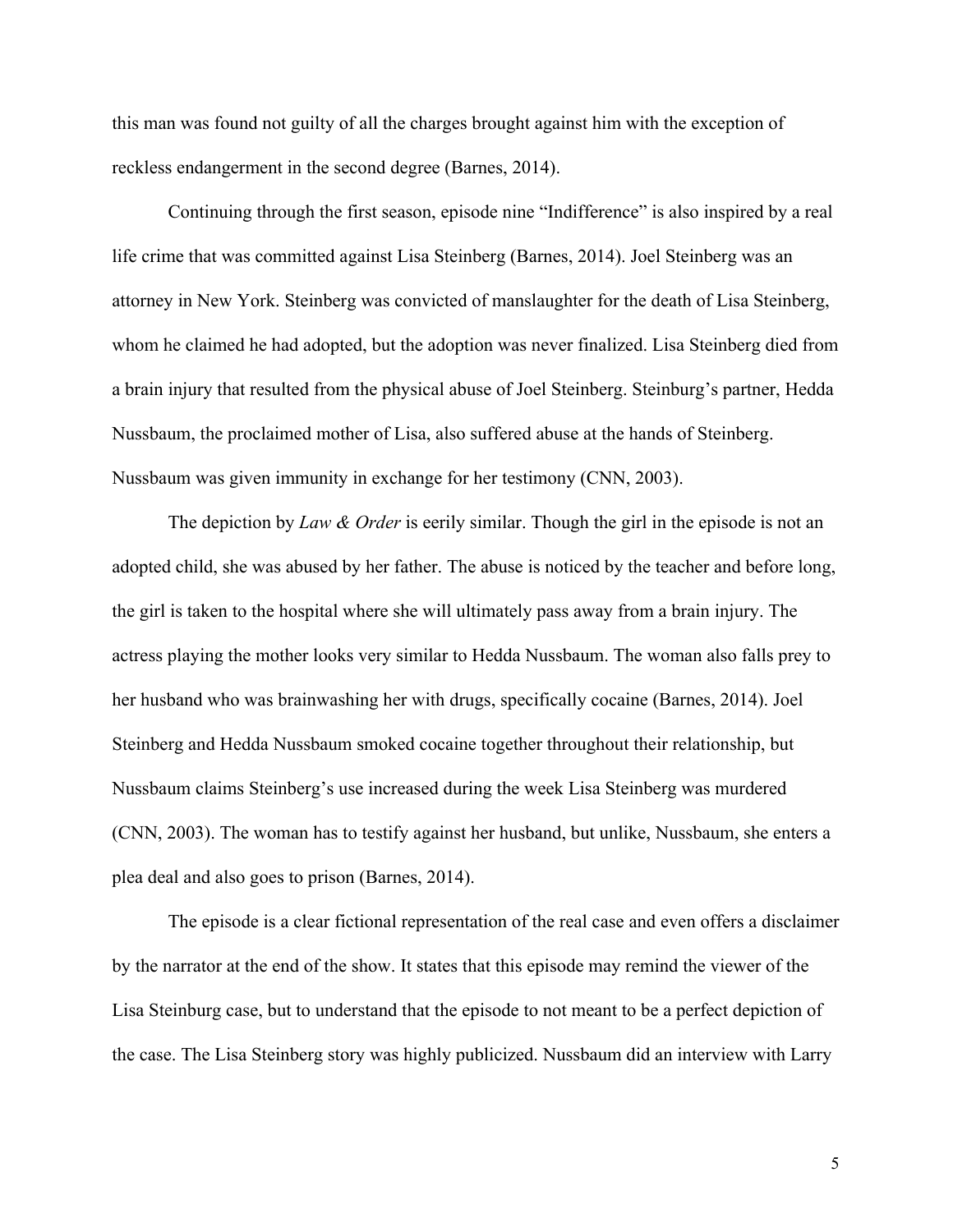this man was found not guilty of all the charges brought against him with the exception of reckless endangerment in the second degree (Barnes, 2014).

Continuing through the first season, episode nine "Indifference" is also inspired by a real life crime that was committed against Lisa Steinberg (Barnes, 2014). Joel Steinberg was an attorney in New York. Steinberg was convicted of manslaughter for the death of Lisa Steinberg, whom he claimed he had adopted, but the adoption was never finalized. Lisa Steinberg died from a brain injury that resulted from the physical abuse of Joel Steinberg. Steinburg's partner, Hedda Nussbaum, the proclaimed mother of Lisa, also suffered abuse at the hands of Steinberg. Nussbaum was given immunity in exchange for her testimony (CNN, 2003).

The depiction by *Law & Order* is eerily similar. Though the girl in the episode is not an adopted child, she was abused by her father. The abuse is noticed by the teacher and before long, the girl is taken to the hospital where she will ultimately pass away from a brain injury. The actress playing the mother looks very similar to Hedda Nussbaum. The woman also falls prey to her husband who was brainwashing her with drugs, specifically cocaine (Barnes, 2014). Joel Steinberg and Hedda Nussbaum smoked cocaine together throughout their relationship, but Nussbaum claims Steinberg's use increased during the week Lisa Steinberg was murdered (CNN, 2003). The woman has to testify against her husband, but unlike, Nussbaum, she enters a plea deal and also goes to prison (Barnes, 2014).

The episode is a clear fictional representation of the real case and even offers a disclaimer by the narrator at the end of the show. It states that this episode may remind the viewer of the Lisa Steinburg case, but to understand that the episode to not meant to be a perfect depiction of the case. The Lisa Steinberg story was highly publicized. Nussbaum did an interview with Larry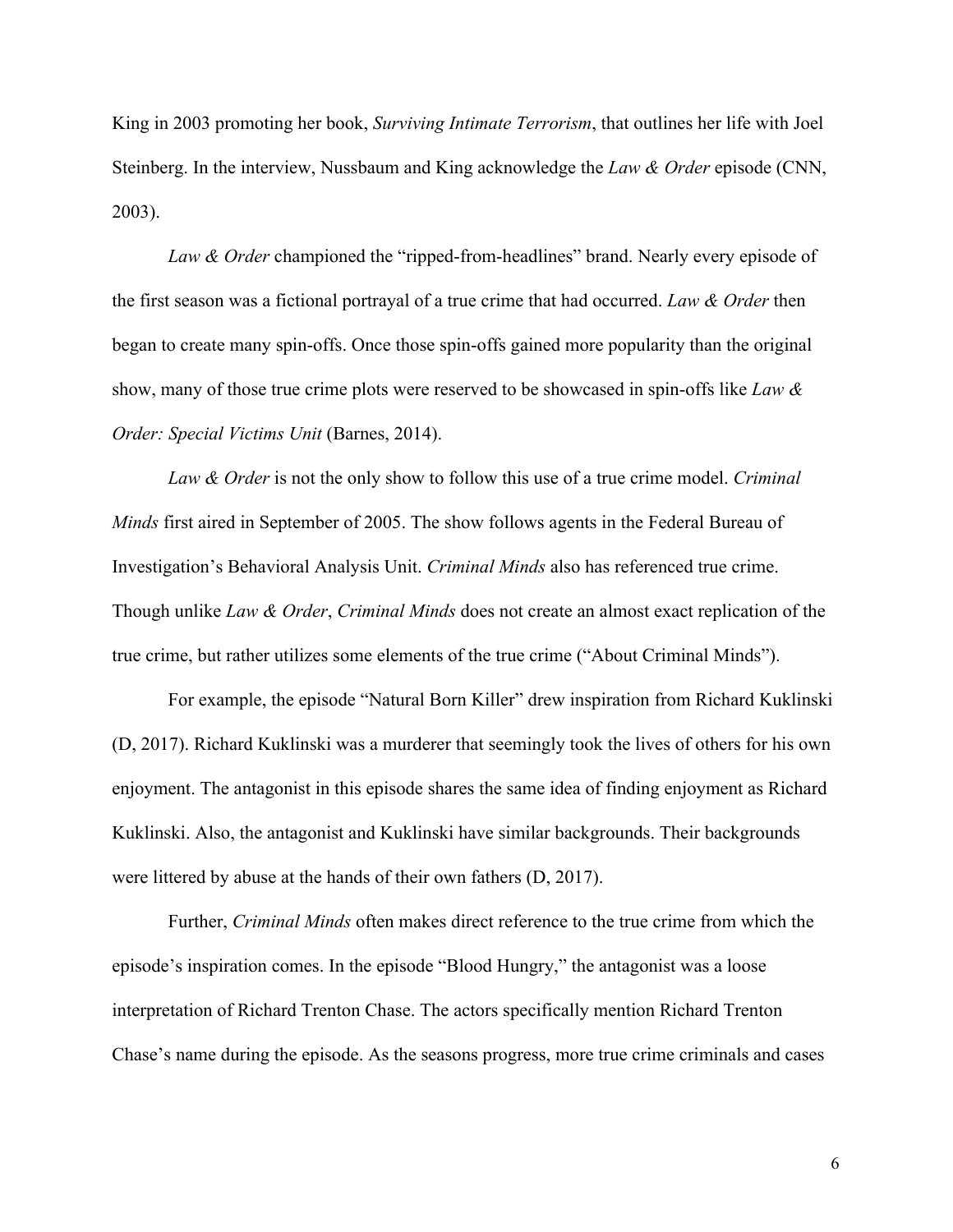King in 2003 promoting her book, *Surviving Intimate Terrorism*, that outlines her life with Joel Steinberg. In the interview, Nussbaum and King acknowledge the *Law & Order* episode (CNN, 2003).

*Law & Order* championed the "ripped-from-headlines" brand. Nearly every episode of the first season was a fictional portrayal of a true crime that had occurred. *Law & Order* then began to create many spin-offs. Once those spin-offs gained more popularity than the original show, many of those true crime plots were reserved to be showcased in spin-offs like *Law & Order: Special Victims Unit* (Barnes, 2014).

*Law & Order* is not the only show to follow this use of a true crime model. *Criminal Minds* first aired in September of 2005. The show follows agents in the Federal Bureau of Investigation's Behavioral Analysis Unit. *Criminal Minds* also has referenced true crime. Though unlike *Law & Order*, *Criminal Minds* does not create an almost exact replication of the true crime, but rather utilizes some elements of the true crime ("About Criminal Minds").

For example, the episode "Natural Born Killer" drew inspiration from Richard Kuklinski (D, 2017). Richard Kuklinski was a murderer that seemingly took the lives of others for his own enjoyment. The antagonist in this episode shares the same idea of finding enjoyment as Richard Kuklinski. Also, the antagonist and Kuklinski have similar backgrounds. Their backgrounds were littered by abuse at the hands of their own fathers (D, 2017).

Further, *Criminal Minds* often makes direct reference to the true crime from which the episode's inspiration comes. In the episode "Blood Hungry," the antagonist was a loose interpretation of Richard Trenton Chase. The actors specifically mention Richard Trenton Chase's name during the episode. As the seasons progress, more true crime criminals and cases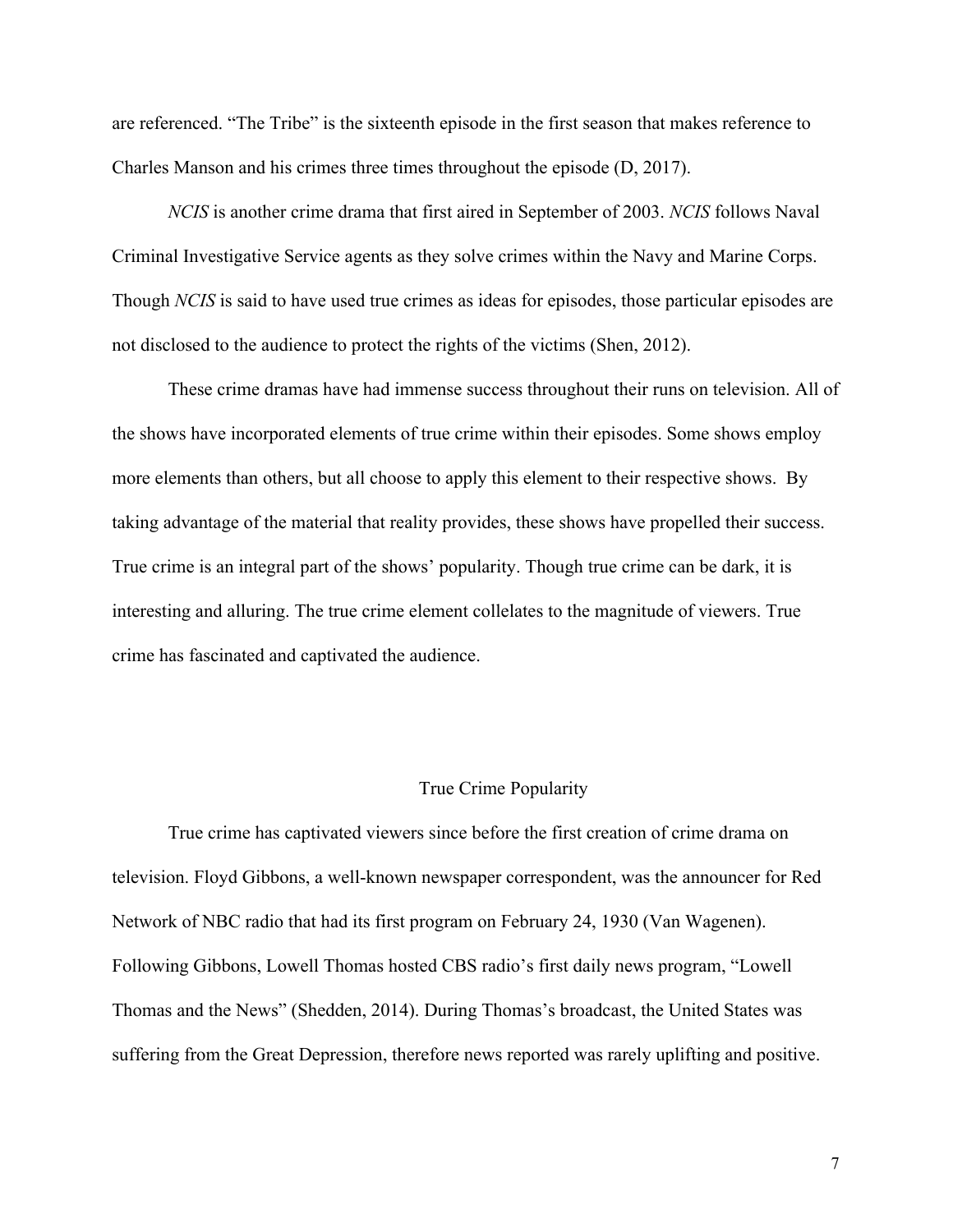are referenced. "The Tribe" is the sixteenth episode in the first season that makes reference to Charles Manson and his crimes three times throughout the episode (D, 2017).

*NCIS* is another crime drama that first aired in September of 2003. *NCIS* follows Naval Criminal Investigative Service agents as they solve crimes within the Navy and Marine Corps. Though *NCIS* is said to have used true crimes as ideas for episodes, those particular episodes are not disclosed to the audience to protect the rights of the victims (Shen, 2012).

These crime dramas have had immense success throughout their runs on television. All of the shows have incorporated elements of true crime within their episodes. Some shows employ more elements than others, but all choose to apply this element to their respective shows. By taking advantage of the material that reality provides, these shows have propelled their success. True crime is an integral part of the shows' popularity. Though true crime can be dark, it is interesting and alluring. The true crime element collelates to the magnitude of viewers. True crime has fascinated and captivated the audience.

## True Crime Popularity

True crime has captivated viewers since before the first creation of crime drama on television. Floyd Gibbons, a well-known newspaper correspondent, was the announcer for Red Network of NBC radio that had its first program on February 24, 1930 (Van Wagenen). Following Gibbons, Lowell Thomas hosted CBS radio's first daily news program, "Lowell Thomas and the News" (Shedden, 2014). During Thomas's broadcast, the United States was suffering from the Great Depression, therefore news reported was rarely uplifting and positive.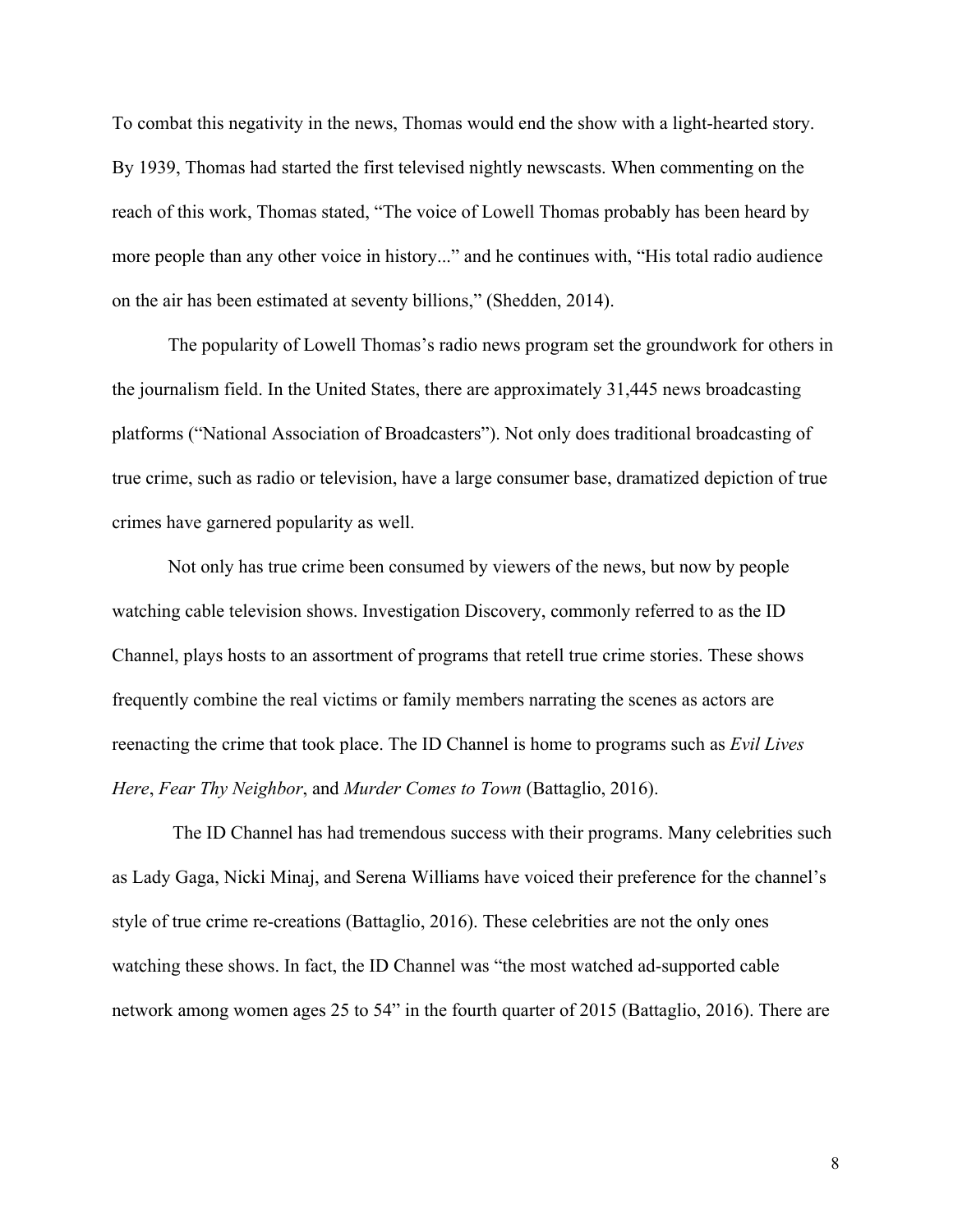To combat this negativity in the news, Thomas would end the show with a light-hearted story. By 1939, Thomas had started the first televised nightly newscasts. When commenting on the reach of this work, Thomas stated, "The voice of Lowell Thomas probably has been heard by more people than any other voice in history..." and he continues with, "His total radio audience on the air has been estimated at seventy billions," (Shedden, 2014).

The popularity of Lowell Thomas's radio news program set the groundwork for others in the journalism field. In the United States, there are approximately 31,445 news broadcasting platforms ("National Association of Broadcasters"). Not only does traditional broadcasting of true crime, such as radio or television, have a large consumer base, dramatized depiction of true crimes have garnered popularity as well.

Not only has true crime been consumed by viewers of the news, but now by people watching cable television shows. Investigation Discovery, commonly referred to as the ID Channel, plays hosts to an assortment of programs that retell true crime stories. These shows frequently combine the real victims or family members narrating the scenes as actors are reenacting the crime that took place. The ID Channel is home to programs such as *Evil Lives Here*, *Fear Thy Neighbor*, and *Murder Comes to Town* (Battaglio, 2016).

 The ID Channel has had tremendous success with their programs. Many celebrities such as Lady Gaga, Nicki Minaj, and Serena Williams have voiced their preference for the channel's style of true crime re-creations (Battaglio, 2016). These celebrities are not the only ones watching these shows. In fact, the ID Channel was "the most watched ad-supported cable network among women ages 25 to 54" in the fourth quarter of 2015 (Battaglio, 2016). There are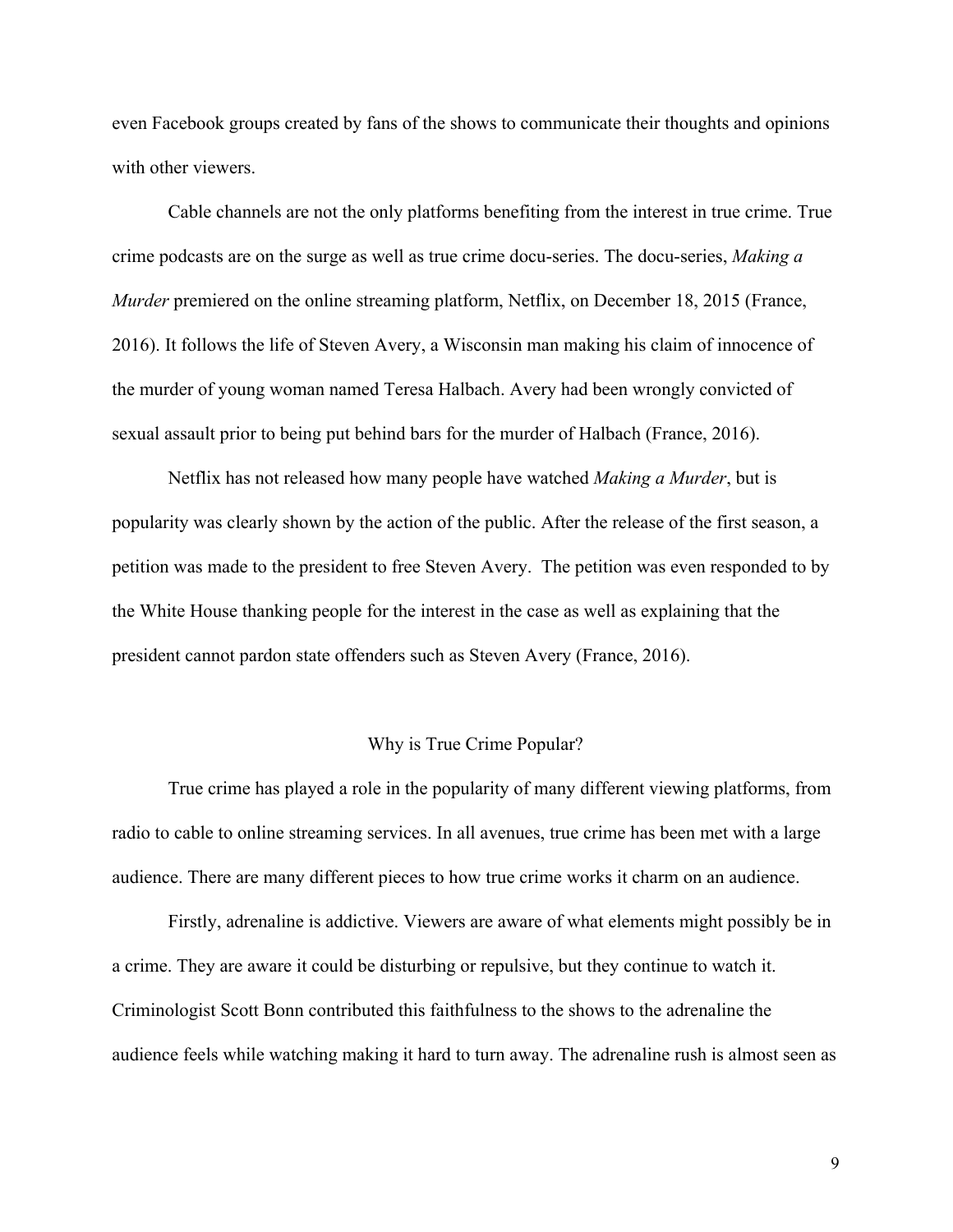even Facebook groups created by fans of the shows to communicate their thoughts and opinions with other viewers.

Cable channels are not the only platforms benefiting from the interest in true crime. True crime podcasts are on the surge as well as true crime docu-series. The docu-series, *Making a Murder* premiered on the online streaming platform, Netflix, on December 18, 2015 (France, 2016). It follows the life of Steven Avery, a Wisconsin man making his claim of innocence of the murder of young woman named Teresa Halbach. Avery had been wrongly convicted of sexual assault prior to being put behind bars for the murder of Halbach (France, 2016).

Netflix has not released how many people have watched *Making a Murder*, but is popularity was clearly shown by the action of the public. After the release of the first season, a petition was made to the president to free Steven Avery. The petition was even responded to by the White House thanking people for the interest in the case as well as explaining that the president cannot pardon state offenders such as Steven Avery (France, 2016).

## Why is True Crime Popular?

True crime has played a role in the popularity of many different viewing platforms, from radio to cable to online streaming services. In all avenues, true crime has been met with a large audience. There are many different pieces to how true crime works it charm on an audience.

Firstly, adrenaline is addictive. Viewers are aware of what elements might possibly be in a crime. They are aware it could be disturbing or repulsive, but they continue to watch it. Criminologist Scott Bonn contributed this faithfulness to the shows to the adrenaline the audience feels while watching making it hard to turn away. The adrenaline rush is almost seen as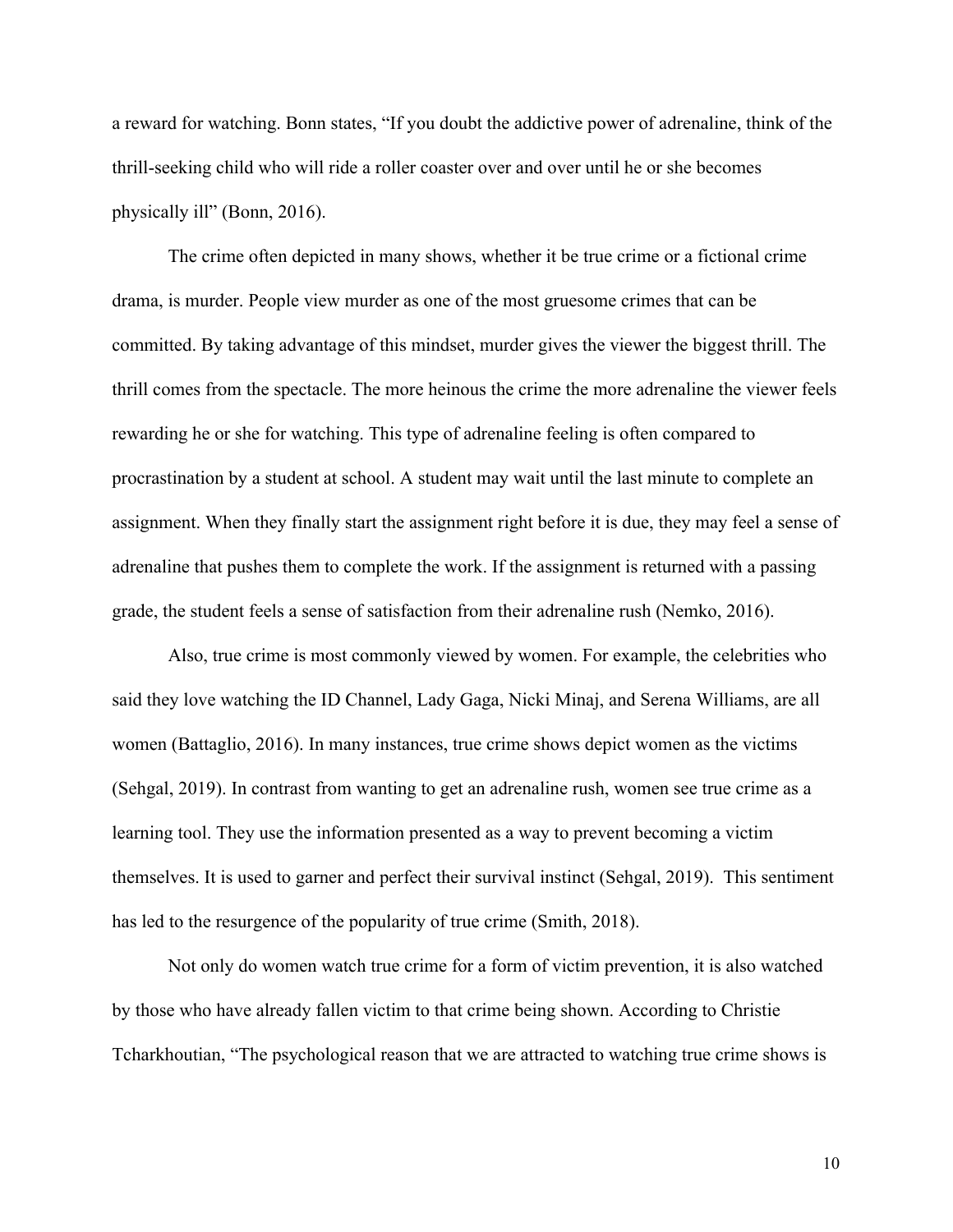a reward for watching. Bonn states, "If you doubt the addictive power of adrenaline, think of the thrill-seeking child who will ride a roller coaster over and over until he or she becomes physically ill" (Bonn, 2016).

The crime often depicted in many shows, whether it be true crime or a fictional crime drama, is murder. People view murder as one of the most gruesome crimes that can be committed. By taking advantage of this mindset, murder gives the viewer the biggest thrill. The thrill comes from the spectacle. The more heinous the crime the more adrenaline the viewer feels rewarding he or she for watching. This type of adrenaline feeling is often compared to procrastination by a student at school. A student may wait until the last minute to complete an assignment. When they finally start the assignment right before it is due, they may feel a sense of adrenaline that pushes them to complete the work. If the assignment is returned with a passing grade, the student feels a sense of satisfaction from their adrenaline rush (Nemko, 2016).

Also, true crime is most commonly viewed by women. For example, the celebrities who said they love watching the ID Channel, Lady Gaga, Nicki Minaj, and Serena Williams, are all women (Battaglio, 2016). In many instances, true crime shows depict women as the victims (Sehgal, 2019). In contrast from wanting to get an adrenaline rush, women see true crime as a learning tool. They use the information presented as a way to prevent becoming a victim themselves. It is used to garner and perfect their survival instinct (Sehgal, 2019). This sentiment has led to the resurgence of the popularity of true crime (Smith, 2018).

Not only do women watch true crime for a form of victim prevention, it is also watched by those who have already fallen victim to that crime being shown. According to Christie Tcharkhoutian, "The psychological reason that we are attracted to watching true crime shows is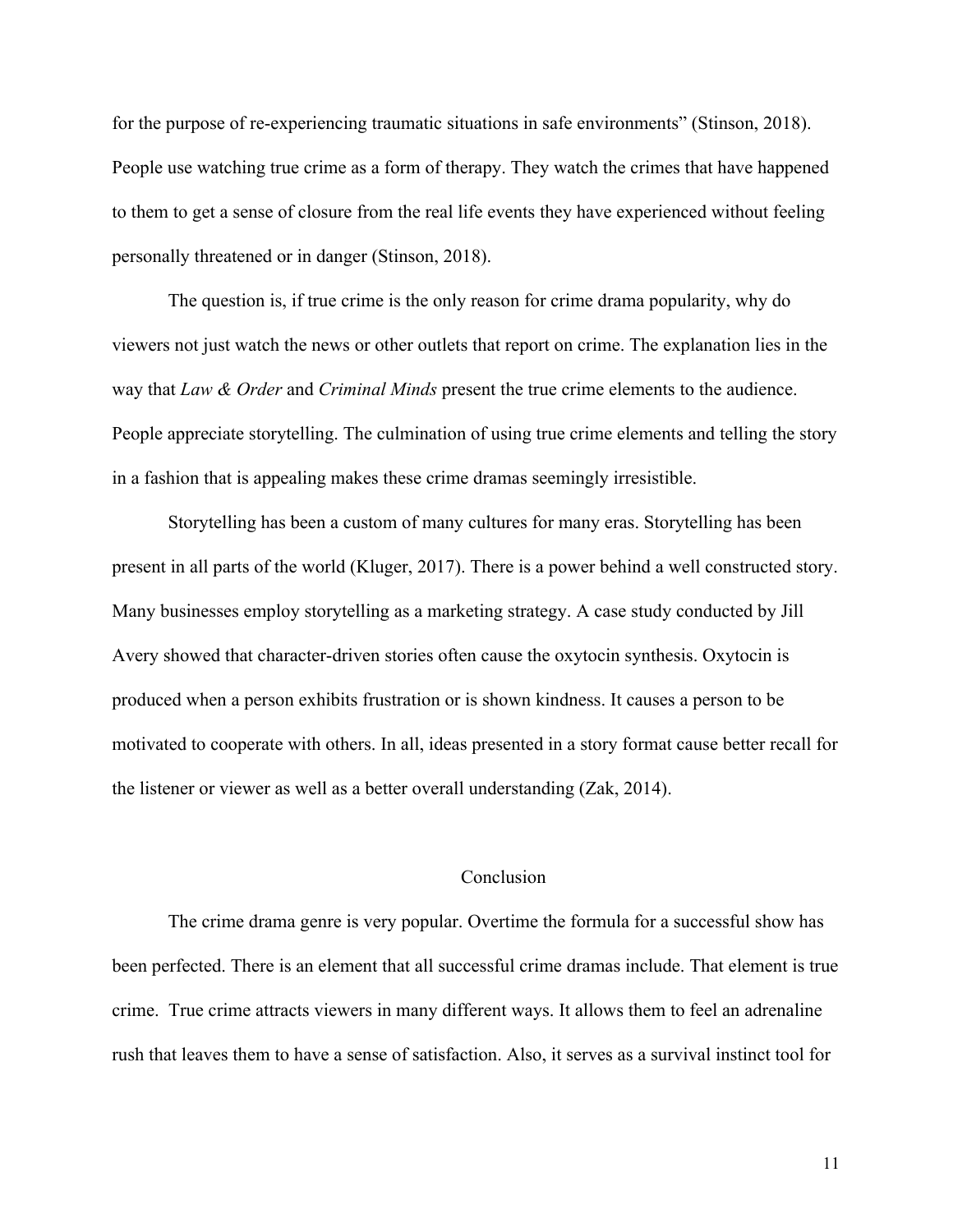for the purpose of re-experiencing traumatic situations in safe environments" (Stinson, 2018). People use watching true crime as a form of therapy. They watch the crimes that have happened to them to get a sense of closure from the real life events they have experienced without feeling personally threatened or in danger (Stinson, 2018).

The question is, if true crime is the only reason for crime drama popularity, why do viewers not just watch the news or other outlets that report on crime. The explanation lies in the way that *Law & Order* and *Criminal Minds* present the true crime elements to the audience. People appreciate storytelling. The culmination of using true crime elements and telling the story in a fashion that is appealing makes these crime dramas seemingly irresistible.

Storytelling has been a custom of many cultures for many eras. Storytelling has been present in all parts of the world (Kluger, 2017). There is a power behind a well constructed story. Many businesses employ storytelling as a marketing strategy. A case study conducted by Jill Avery showed that character-driven stories often cause the oxytocin synthesis. Oxytocin is produced when a person exhibits frustration or is shown kindness. It causes a person to be motivated to cooperate with others. In all, ideas presented in a story format cause better recall for the listener or viewer as well as a better overall understanding (Zak, 2014).

### **Conclusion**

The crime drama genre is very popular. Overtime the formula for a successful show has been perfected. There is an element that all successful crime dramas include. That element is true crime. True crime attracts viewers in many different ways. It allows them to feel an adrenaline rush that leaves them to have a sense of satisfaction. Also, it serves as a survival instinct tool for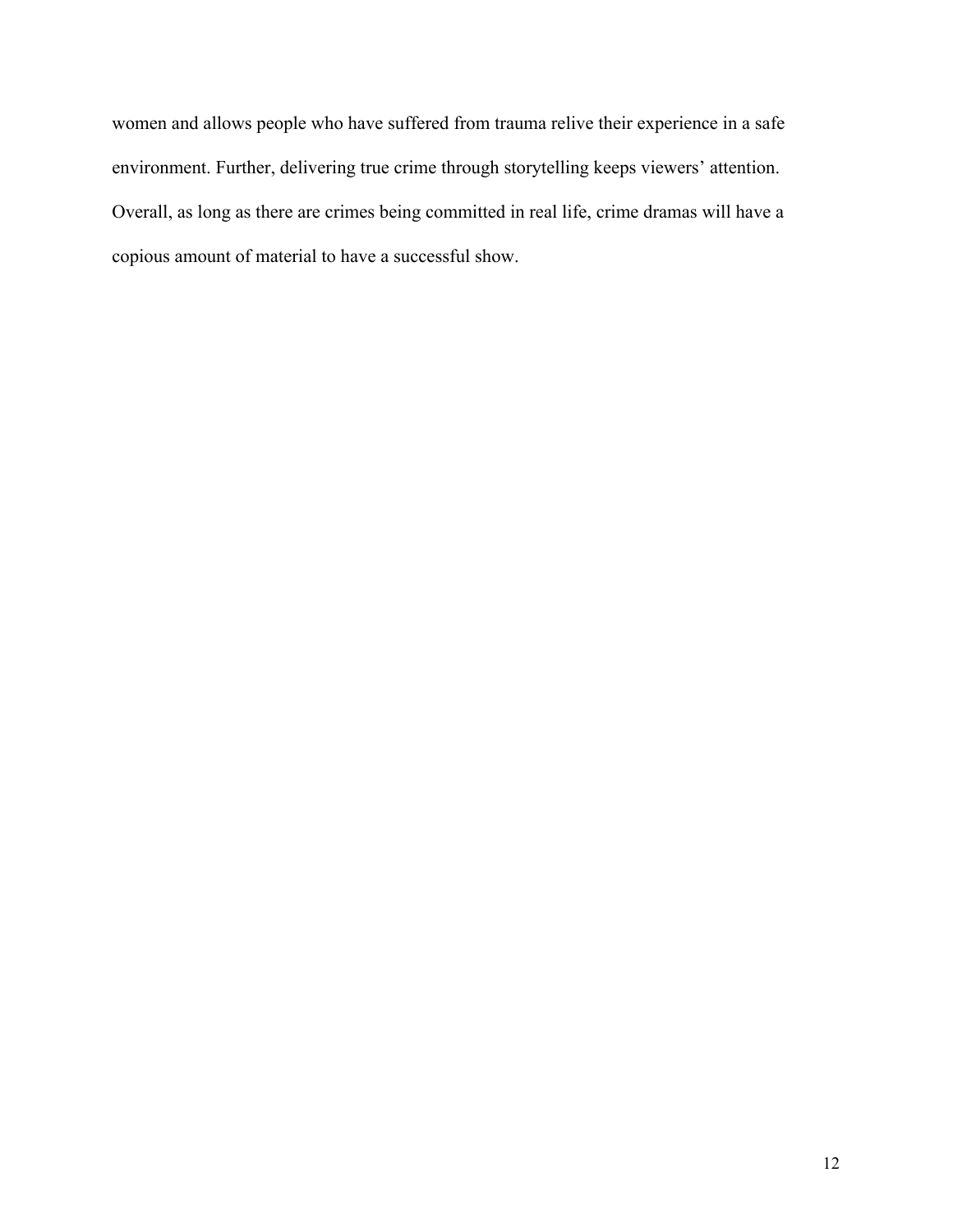women and allows people who have suffered from trauma relive their experience in a safe environment. Further, delivering true crime through storytelling keeps viewers' attention. Overall, as long as there are crimes being committed in real life, crime dramas will have a copious amount of material to have a successful show.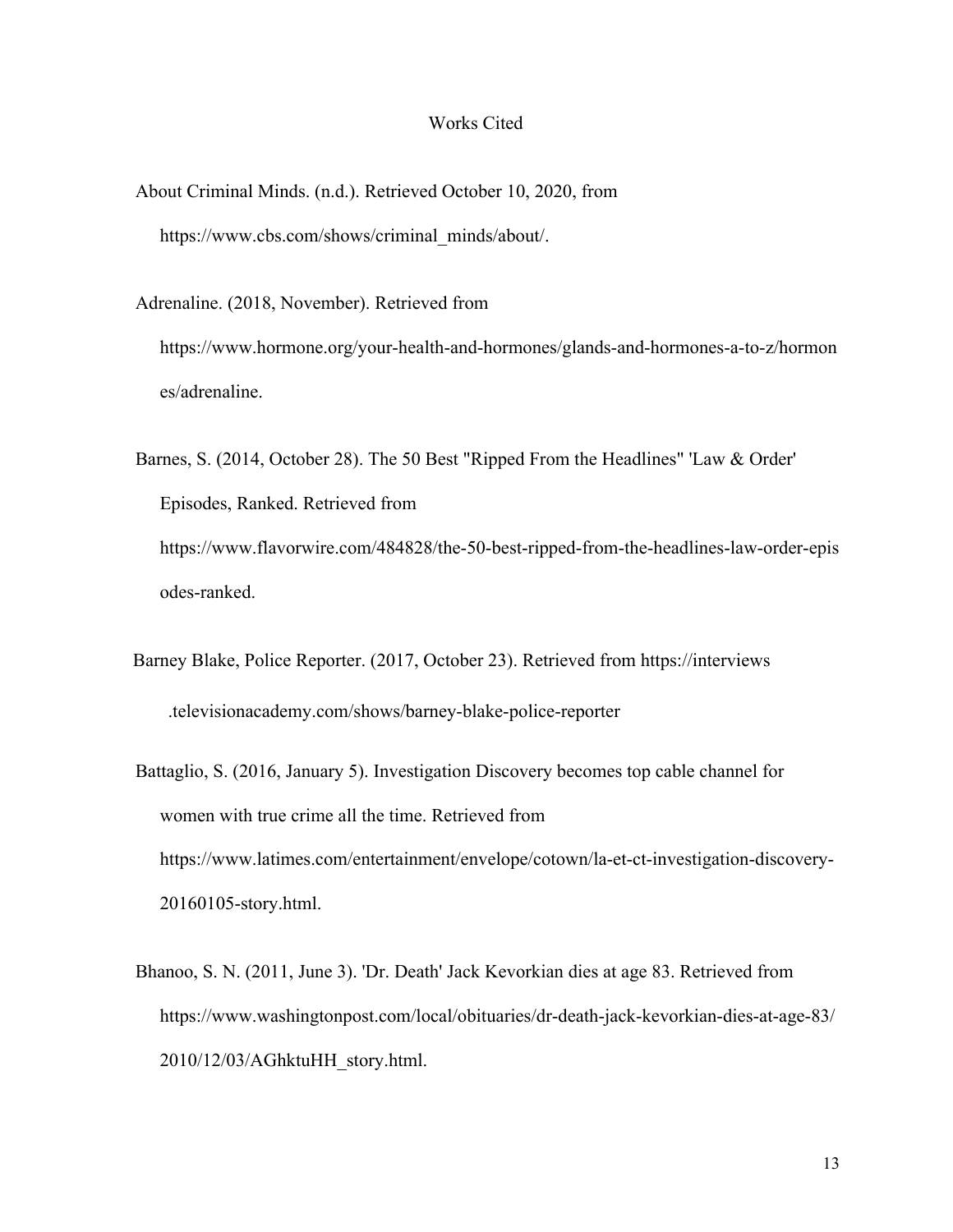#### Works Cited

About Criminal Minds. (n.d.). Retrieved October 10, 2020, from https://www.cbs.com/shows/criminal\_minds/about/.

Adrenaline. (2018, November). Retrieved from

https://www.hormone.org/your-health-and-hormones/glands-and-hormones-a-to-z/hormon es/adrenaline.

- Barnes, S. (2014, October 28). The 50 Best "Ripped From the Headlines" 'Law & Order' Episodes, Ranked. Retrieved from https://www.flavorwire.com/484828/the-50-best-ripped-from-the-headlines-law-order-epis odes-ranked.
- Barney Blake, Police Reporter. (2017, October 23). Retrieved from https://interviews .televisionacademy.com/shows/barney-blake-police-reporter
- Battaglio, S. (2016, January 5). Investigation Discovery becomes top cable channel for women with true crime all the time. Retrieved from https://www.latimes.com/entertainment/envelope/cotown/la-et-ct-investigation-discovery-20160105-story.html.
- Bhanoo, S. N. (2011, June 3). 'Dr. Death' Jack Kevorkian dies at age 83. Retrieved from https://www.washingtonpost.com/local/obituaries/dr-death-jack-kevorkian-dies-at-age-83/ 2010/12/03/AGhktuHH\_story.html.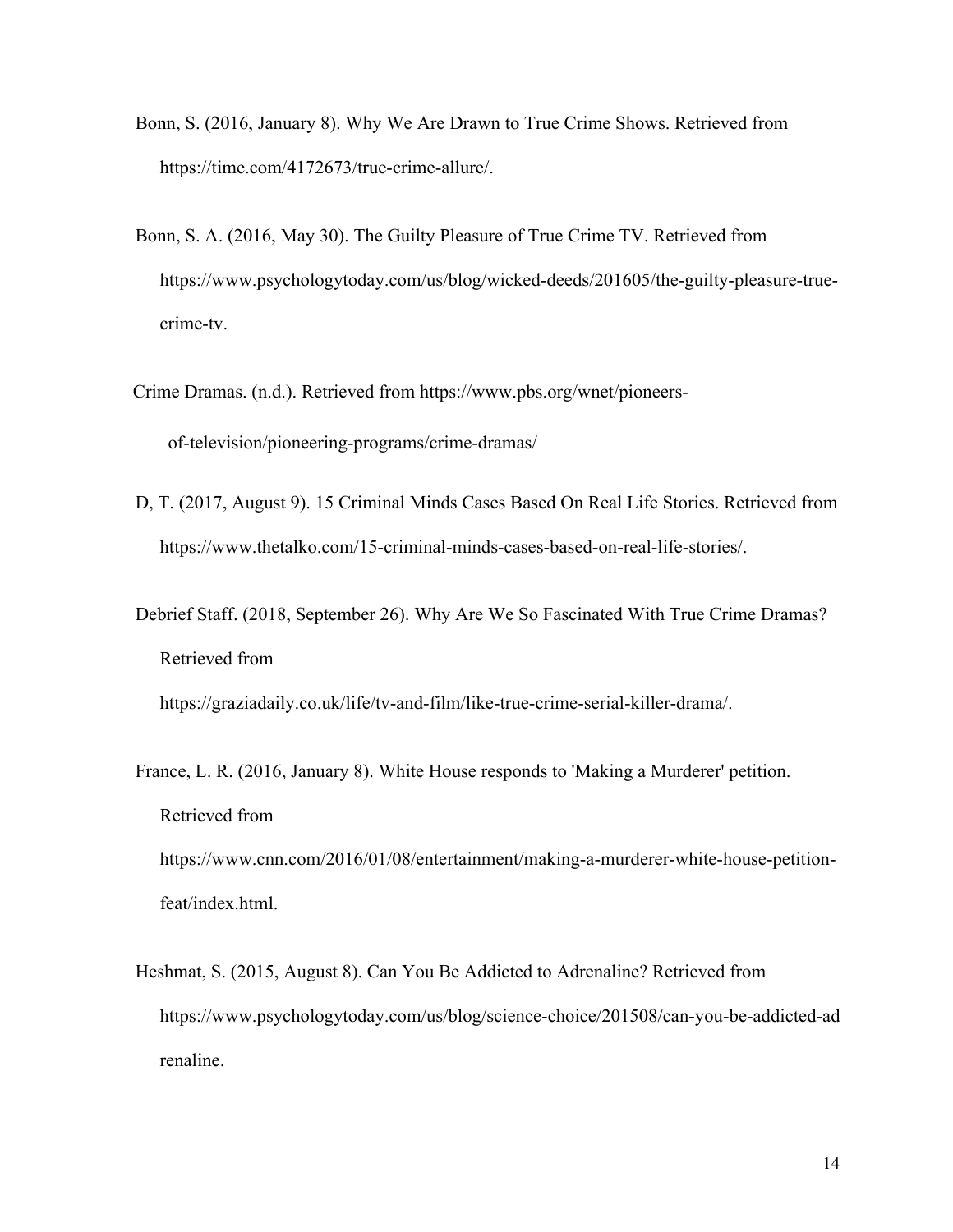- Bonn, S. (2016, January 8). Why We Are Drawn to True Crime Shows. Retrieved from https://time.com/4172673/true-crime-allure/.
- Bonn, S. A. (2016, May 30). The Guilty Pleasure of True Crime TV. Retrieved from https://www.psychologytoday.com/us/blog/wicked-deeds/201605/the-guilty-pleasure-truecrime-tv.
- Crime Dramas. (n.d.). Retrieved from https://www.pbs.org/wnet/pioneersof-television/pioneering-programs/crime-dramas/
- D, T. (2017, August 9). 15 Criminal Minds Cases Based On Real Life Stories. Retrieved from https://www.thetalko.com/15-criminal-minds-cases-based-on-real-life-stories/.
- Debrief Staff. (2018, September 26). Why Are We So Fascinated With True Crime Dramas? Retrieved from

https://graziadaily.co.uk/life/tv-and-film/like-true-crime-serial-killer-drama/.

- France, L. R. (2016, January 8). White House responds to 'Making a Murderer' petition. Retrieved from https://www.cnn.com/2016/01/08/entertainment/making-a-murderer-white-house-petitionfeat/index.html.
- Heshmat, S. (2015, August 8). Can You Be Addicted to Adrenaline? Retrieved from https://www.psychologytoday.com/us/blog/science-choice/201508/can-you-be-addicted-ad renaline.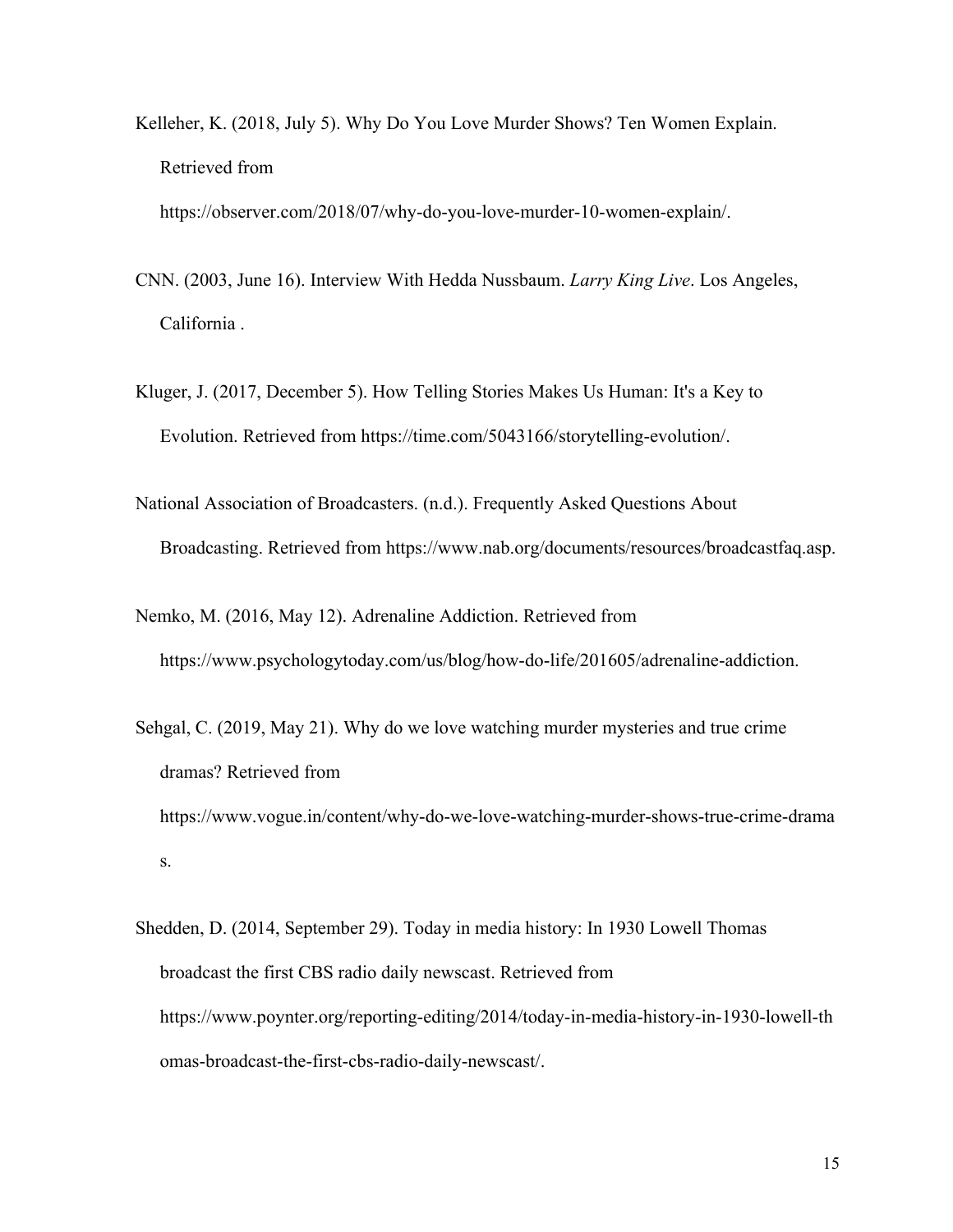Kelleher, K. (2018, July 5). Why Do You Love Murder Shows? Ten Women Explain. Retrieved from

https://observer.com/2018/07/why-do-you-love-murder-10-women-explain/.

- CNN. (2003, June 16). Interview With Hedda Nussbaum. *Larry King Live*. Los Angeles, California .
- Kluger, J. (2017, December 5). How Telling Stories Makes Us Human: It's a Key to Evolution. Retrieved from https://time.com/5043166/storytelling-evolution/.
- National Association of Broadcasters. (n.d.). Frequently Asked Questions About Broadcasting. Retrieved from https://www.nab.org/documents/resources/broadcastfaq.asp.
- Nemko, M. (2016, May 12). Adrenaline Addiction. Retrieved from https://www.psychologytoday.com/us/blog/how-do-life/201605/adrenaline-addiction.
- Sehgal, C. (2019, May 21). Why do we love watching murder mysteries and true crime dramas? Retrieved from https://www.vogue.in/content/why-do-we-love-watching-murder-shows-true-crime-drama s.
- Shedden, D. (2014, September 29). Today in media history: In 1930 Lowell Thomas broadcast the first CBS radio daily newscast. Retrieved from https://www.poynter.org/reporting-editing/2014/today-in-media-history-in-1930-lowell-th omas-broadcast-the-first-cbs-radio-daily-newscast/.